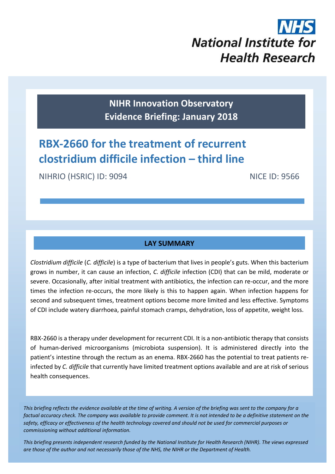# **National Institute for Health Research**

**NIHR Innovation Observatory Evidence Briefing: January 2018**

# **RBX-2660 for the treatment of recurrent clostridium difficile infection – third line**

NIHRIO (HSRIC) ID: 9094 NICE ID: 9566

# **LAY SUMMARY**

*Clostridium difficile* (*C. difficile*) is a type of bacterium that lives in people's guts. When this bacterium grows in number, it can cause an infection, *C. difficile* infection (CDI) that can be mild, moderate or severe. Occasionally, after initial treatment with antibiotics, the infection can re-occur, and the more times the infection re-occurs, the more likely is this to happen again. When infection happens for second and subsequent times, treatment options become more limited and less effective. Symptoms of CDI include watery diarrhoea, painful stomach cramps, dehydration, loss of appetite, weight loss.

RBX-2660 is a therapy under development for recurrent CDI. It is a non-antibiotic therapy that consists of human-derived microorganisms (microbiota suspension). It is administered directly into the patient's intestine through the rectum as an enema. RBX-2660 has the potential to treat patients reinfected by *C. difficile* that currently have limited treatment options available and are at risk of serious health consequences.

*This briefing reflects the evidence available at the time of writing. A version of the briefing was sent to the company for a factual accuracy check. The company was available to provide comment. It is not intended to be a definitive statement on the safety, efficacy or effectiveness of the health technology covered and should not be used for commercial purposes or commissioning without additional information.*

1 *This briefing presents independent research funded by the National Institute for Health Research (NIHR). The views expressed are those of the author and not necessarily those of the NHS, the NIHR or the Department of Health.*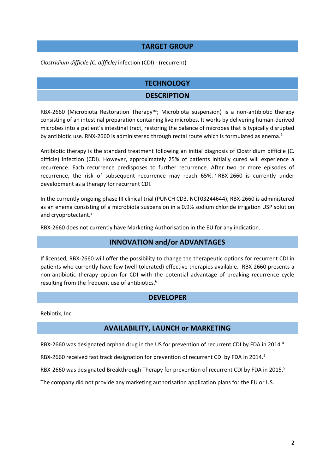#### **TARGET GROUP**

*Clostridium difficile (C. difficle)* infection (CDI) - (recurrent)

# **TECHNOLOGY**

#### **DESCRIPTION**

RBX-2660 (Microbiota Restoration Therapy™; Microbiota suspension) is a non-antibiotic therapy consisting of an intestinal preparation containing live microbes. It works by delivering human-derived microbes into a patient's intestinal tract, restoring the balance of microbes that is typically disrupted by antibiotic use. RNX-2660 is administered through rectal route which is formulated as enema.<sup>1</sup>

Antibiotic therapy is the standard treatment following an initial diagnosis of Clostridium difficile (C. difficle) infection (CDI). However, approximately 25% of patients initially cured will experience a recurrence. Each recurrence predisposes to further recurrence. After two or more episodes of recurrence, the risk of subsequent recurrence may reach 65%.<sup>2</sup> RBX-2660 is currently under development as a therapy for recurrent CDI.

In the currently ongoing phase III clinical trial (PUNCH CD3, NCT03244644), RBX-2660 is administered as an enema consisting of a microbiota suspension in a 0.9% sodium chloride irrigation USP solution and cryoprotectant. 3

RBX-2660 does not currently have Marketing Authorisation in the EU for any indication.

# <span id="page-1-1"></span>**INNOVATION and/or ADVANTAGES**

If licensed, RBX-2660 will offer the possibility to change the therapeutic options for recurrent CDI in patients who currently have few (well-tolerated) effective therapies available. RBX-2660 presents a non-antibiotic therapy option for CDI with the potential advantage of breaking recurrence cycle resulting from the frequent use of antibiotics.[6](#page-2-0)

#### <span id="page-1-0"></span>**DEVELOPER**

Rebiotix, Inc.

# **AVAILABILITY, LAUNCH or MARKETING**

RBX-2660 was designated orphan drug in the US for prevention of recurrent CDI by FDA in 2014.<sup>4</sup>

RBX-2660 received fast track designation for prevention of recurrent CDI by FDA in 2014.<sup>5</sup>

RBX-2660 was designated Breakthrough Therapy for prevention of recurrent CDI by FDA in 2015[.](#page-1-0)<sup>5</sup>

The company did not provide any marketing authorisation application plans for the EU or US.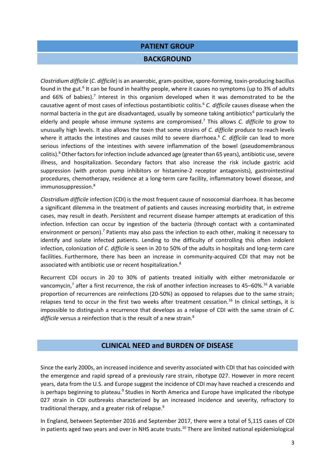# **PATIENT GROUP**

#### **BACKGROUND**

<span id="page-2-0"></span>*Clostridium difficile* (*C. difficile*) is an anaerobic, gram-positive, spore-forming, toxin-producing bacillus found in the gut.<sup>6</sup> It can be found in healthy people, where it causes no symptoms (up to 3% of adults and 66% of babies)[.](#page-2-1)<sup>7</sup> Interest in this organism developed when it was demonstrated to be the causative agent of most cases of infectious postantibiotic colitis. [6](#page-2-0) *C. difficile* causes disease when the normal bacteria in the gut are disadvantaged, usually by someone taking antibiotics<sup>[6](#page-2-0)</sup> particularly the elderly and people whose immune systems are compromised. [7](#page-2-1) This allows *C. difficile* to grow to unusually high levels. It also allows the toxin that some strains of *C. difficile* produce to reach levels where it attacks the intestines and causes mild to severe diarrhoea.<sup>[6](#page-2-0)</sup> C. difficile can lead to more serious infections of the intestines with severe inflammation of the bowel (pseudomembranous colitis).[8](#page-2-2) Other factors for infection include advanced age (greater than 65 years), antibiotic use, severe illness, and hospitalization. Secondary factors that also increase the risk include gastric acid suppression (with proton pump inhibitors or histamine-2 receptor antagonists), gastrointestinal procedures, chemotherapy, residence at a long-term care facility, inflammatory bowel disease, and immunosuppression.<sup>[8](#page-2-2)</sup>

<span id="page-2-1"></span>*Clostridium difficile* infection (CDI) is the most frequent cause of nosocomial diarrhoea. It has become a significant dilemma in the treatment of patients and causes increasing morbidity that, in extreme cases, may result in death. Persistent and recurrent disease hamper attempts at eradication of this infection. Infection can occur by ingestion of the bacteria (through contact with a contaminated environment or person).<sup>7</sup> Patients may also pass the infection to each other, making it necessary to identify and isolate infected patients. Lending to the difficulty of controlling this often indolent infection, colonization of *C. difficile* is seen in 20 to 50% of the adults in hospitals and long-term care facilities. Furthermore, there has been an increase in community-acquired CDI that may not be associated with antibiotic use or recent hospitalization.<sup>8</sup>

Recurrent CDI occurs in 20 to 30% of patients treated initially with either metronidazole or vancomycin,<sup>[7](#page-2-1)</sup> after a first recurrence, the risk of another infection increases to 45–60%.<sup>[16](#page-4-0)</sup> A variable proportion of recurrences are reinfections (20-50%) as opposed to relapses due to the same strain; relapses tend to occur in the first two weeks after treatment cessation.<sup>[16](#page-4-0)</sup> In clinical settings, it is impossible to distinguish a recurrence that develops as a relapse of CDI with the same strain of *C.*  difficile versus a reinfection that is the result of a new strain.<sup>[8](#page-2-2)</sup>

#### <span id="page-2-3"></span><span id="page-2-2"></span>**CLINICAL NEED and BURDEN OF DISEASE**

Since the early 2000s, an increased incidence and severity associated with CDI that has coincided with the emergence and rapid spread of a previously rare strain, ribotype 027. However in more recent years, data from the U.S. and Europe suggest the incidence of CDI may have reached a crescendo and is perhaps beginning to plateau.<sup>9</sup> Studies in North America and Europe have implicated the ribotype 027 strain in CDI outbreaks characterized by an increased incidence and severity, refractory to traditional therapy, and a greater risk of relapse[.](#page-2-3)<sup>9</sup>

In England, between September 2016 and September 2017, there were a total of 5,115 cases of CDI in patients aged two years and over in NHS acute trusts.<sup>10</sup> There are limited national epidemiological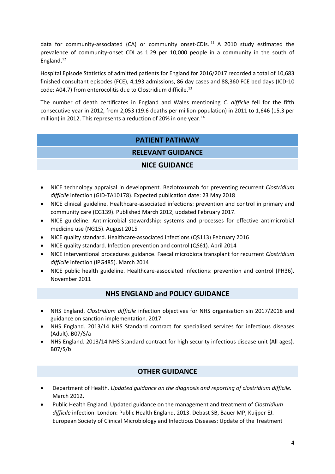data for community-associated (CA) or community onset-CDIs.<sup>11</sup> A 2010 study estimated the prevalence of community-onset CDI as 1.29 per 10,000 people in a community in the south of England.<sup>12</sup>

Hospital Episode Statistics of admitted patients for England for 2016/2017 recorded a total of 10,683 finished consultant episodes (FCE), 4,193 admissions, 86 day cases and 88,360 FCE bed days (ICD-10 code: A04.7) from enterocolitis due to Clostridium difficile.<sup>13</sup>

The number of death certificates in England and Wales mentioning *C. difficile* fell for the fifth consecutive year in 2012, from 2,053 (19.6 deaths per million population) in 2011 to 1,646 (15.3 per million) in 2012. This represents a reduction of 20% in one year. $^{14}$ 

# **PATIENT PATHWAY**

# **RELEVANT GUIDANCE**

# **NICE GUIDANCE**

- NICE technology appraisal in development. Bezlotoxumab for preventing recurrent *Clostridium difficile* infection (GID-TA10178). Expected publication date: 23 May 2018
- NICE clinical guideline. Healthcare-associated infections: prevention and control in primary and community care (CG139). Published March 2012, updated February 2017.
- NICE guideline. Antimicrobial stewardship: systems and processes for effective antimicrobial medicine use (NG15). August 2015
- NICE quality standard. Healthcare-associated infections (QS113) February 2016
- NICE quality standard. Infection prevention and control (QS61). April 2014
- NICE interventional procedures guidance. Faecal microbiota transplant for recurrent *Clostridium difficile* infection (IPG485). March 2014
- NICE public health guideline. Healthcare-associated infections: prevention and control (PH36). November 2011

# **NHS ENGLAND and POLICY GUIDANCE**

- NHS England. *Clostridium difficile* infection objectives for NHS organisation sin 2017/2018 and guidance on sanction implementation. 2017.
- NHS England. 2013/14 NHS Standard contract for specialised services for infectious diseases (Adult). B07/S/a
- NHS England. 2013/14 NHS Standard contract for high security infectious disease unit (All ages). B07/S/b

# **OTHER GUIDANCE**

- Department of Health*. Updated guidance on the diagnosis and reporting of clostridium difficile.* March 2012.
- Public Health England. Updated guidance on the management and treatment of *Clostridium difficile* infection. London: Public Health England, 2013. Debast SB, Bauer MP, Kuijper EJ. European Society of Clinical Microbiology and Infectious Diseases: Update of the Treatment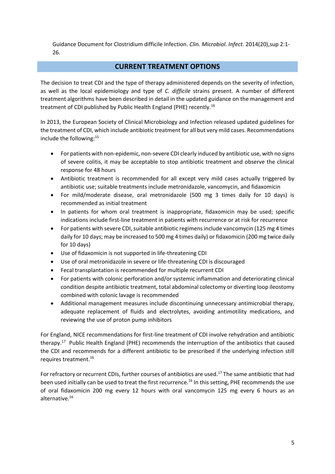Guidance Document for Clostridium difficile Infection. *Clin. Microbiol. Infect*. 2014(20),sup 2:1- 26.

#### **CURRENT TREATMENT OPTIONS**

The decision to treat CDI and the type of therapy administered depends on the severity of infection, as well as the local epidemiology and type of *C. difficile* strains present. A number of different treatment algorithms have been described in detail in the updated guidance on the management and treatment of CDI published by Public Health England (PHE) recently.[16](#page-4-0)

In 2013, the European Society of Clinical Microbiology and Infection released updated guidelines for the treatment of CDI, which include antibiotic treatment for all but very mild cases. Recommendations include the following:<sup>15</sup>

- For patients with non-epidemic, non-severe CDI clearly induced by antibiotic use, with no signs of severe colitis, it may be acceptable to stop antibiotic treatment and observe the clinical response for 48 hours
- Antibiotic treatment is recommended for all except very mild cases actually triggered by antibiotic use; suitable treatments include metronidazole, vancomycin, and fidaxomicin
- For mild/moderate disease, oral metronidazole (500 mg 3 times daily for 10 days) is recommended as initial treatment
- In patients for whom oral treatment is inappropriate, fidaxomicin may be used; specific indications include first-line treatment in patients with recurrence or at risk for recurrence
- For patients with severe CDI, suitable antibiotic regimens include vancomycin (125 mg 4 times daily for 10 days; may be increased to 500 mg 4 times daily) or fidaxomicin (200 mg twice daily for 10 days)
- Use of fidaxomicin is not supported in life-threatening CDI
- Use of oral metronidazole in severe or life-threatening CDI is discouraged
- Fecal transplantation is recommended for multiple recurrent CDI
- For patients with colonic perforation and/or systemic inflammation and deteriorating clinical condition despite antibiotic treatment, total abdominal colectomy or diverting loop ileostomy combined with colonic lavage is recommended
- Additional management measures include discontinuing unnecessary antimicrobial therapy, adequate replacement of fluids and electrolytes, avoiding antimotility medications, and reviewing the use of proton pump inhibitors

For England, NICE recommendations for first-line treatment of CDI involve rehydration and antibiotic therapy.[17](#page-5-0) Public Health England (PHE) recommends the interruption of the antibiotics that caused the CDI and recommends for a different antibiotic to be prescribed if the underlying infection still requires treatment.<sup>16</sup>

<span id="page-4-0"></span>For refractory or recurrent CDIs, further courses of antibiotics are used.<sup>[17](#page-5-0)</sup> The same antibiotic that had been used initially can be used to treat the first recurrence. [16](#page-4-0) In this setting, PHE recommends the use of oral fidaxomicin 200 mg every 12 hours with oral vancomycin 125 mg every 6 hours as an alternative.[16](#page-4-0)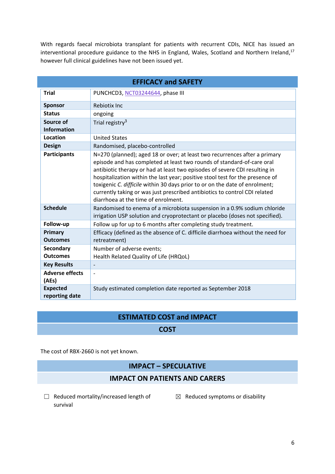<span id="page-5-0"></span>With regards faecal microbiota transplant for patients with recurrent CDIs, NICE has issued an interventional procedure guidance to the NHS in England, Wales, Scotland and Northern Ireland,<sup>17</sup> however full clinical guidelines have not been issued yet.

| <b>EFFICACY and SAFETY</b>        |                                                                                                                                                                                                                                                                                                                                                                                                                                                                                                                         |  |  |
|-----------------------------------|-------------------------------------------------------------------------------------------------------------------------------------------------------------------------------------------------------------------------------------------------------------------------------------------------------------------------------------------------------------------------------------------------------------------------------------------------------------------------------------------------------------------------|--|--|
| <b>Trial</b>                      | PUNCHCD3, NCT03244644, phase III                                                                                                                                                                                                                                                                                                                                                                                                                                                                                        |  |  |
| <b>Sponsor</b>                    | Rebiotix Inc                                                                                                                                                                                                                                                                                                                                                                                                                                                                                                            |  |  |
| <b>Status</b>                     | ongoing                                                                                                                                                                                                                                                                                                                                                                                                                                                                                                                 |  |  |
| Source of<br><b>Information</b>   | Trial registry <sup>3</sup>                                                                                                                                                                                                                                                                                                                                                                                                                                                                                             |  |  |
| Location                          | <b>United States</b>                                                                                                                                                                                                                                                                                                                                                                                                                                                                                                    |  |  |
| <b>Design</b>                     | Randomised, placebo-controlled                                                                                                                                                                                                                                                                                                                                                                                                                                                                                          |  |  |
| <b>Participants</b>               | N=270 (planned); aged 18 or over; at least two recurrences after a primary<br>episode and has completed at least two rounds of standard-of-care oral<br>antibiotic therapy or had at least two episodes of severe CDI resulting in<br>hospitalization within the last year; positive stool test for the presence of<br>toxigenic C. difficile within 30 days prior to or on the date of enrolment;<br>currently taking or was just prescribed antibiotics to control CDI related<br>diarrhoea at the time of enrolment. |  |  |
| <b>Schedule</b>                   | Randomised to enema of a microbiota suspension in a 0.9% sodium chloride<br>irrigation USP solution and cryoprotectant or placebo (doses not specified).                                                                                                                                                                                                                                                                                                                                                                |  |  |
| Follow-up                         | Follow up for up to 6 months after completing study treatment.                                                                                                                                                                                                                                                                                                                                                                                                                                                          |  |  |
| Primary<br><b>Outcomes</b>        | Efficacy (defined as the absence of C. difficile diarrhoea without the need for<br>retreatment)                                                                                                                                                                                                                                                                                                                                                                                                                         |  |  |
| Secondary                         | Number of adverse events;                                                                                                                                                                                                                                                                                                                                                                                                                                                                                               |  |  |
| <b>Outcomes</b>                   | Health Related Quality of Life (HRQoL)                                                                                                                                                                                                                                                                                                                                                                                                                                                                                  |  |  |
| <b>Key Results</b>                |                                                                                                                                                                                                                                                                                                                                                                                                                                                                                                                         |  |  |
| <b>Adverse effects</b><br>(AEs)   |                                                                                                                                                                                                                                                                                                                                                                                                                                                                                                                         |  |  |
| <b>Expected</b><br>reporting date | Study estimated completion date reported as September 2018                                                                                                                                                                                                                                                                                                                                                                                                                                                              |  |  |

# **ESTIMATED COST and IMPACT**

#### **COST**

The cost of RBX-2660 is not yet known.

#### **IMPACT – SPECULATIVE**

#### **IMPACT ON PATIENTS AND CARERS**

- ☐ Reduced mortality/increased length of survival
- $\boxtimes$  Reduced symptoms or disability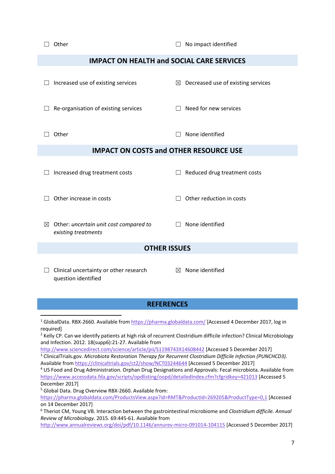□ Other □ No impact identified

#### **IMPACT ON HEALTH and SOCIAL CARE SERVICES**

|                                               | Increased use of existing services                            |   | $\boxtimes$ Decreased use of existing services |  |
|-----------------------------------------------|---------------------------------------------------------------|---|------------------------------------------------|--|
|                                               | Re-organisation of existing services                          |   | Need for new services                          |  |
|                                               | Other                                                         |   | None identified                                |  |
| <b>IMPACT ON COSTS and OTHER RESOURCE USE</b> |                                                               |   |                                                |  |
|                                               | Increased drug treatment costs                                |   | Reduced drug treatment costs                   |  |
| Other increase in costs                       |                                                               |   | Other reduction in costs                       |  |
| $\boxtimes$                                   | Other: uncertain unit cost compared to<br>existing treatments |   | None identified                                |  |
| <b>OTHER ISSUES</b>                           |                                                               |   |                                                |  |
|                                               | Clinical uncertainty or other research                        | ⊠ | None identified                                |  |

#### **REFERENCES**

<sup>1</sup> GlobalData. RBX-2660. Available from<https://pharma.globaldata.com/> [Accessed 4 December 2017, log in required]

<sup>2</sup> Kelly CP. Can we identify patients at high risk of recurrent Clostridium difficile infection? Clinical Microbiology and Infection. 2012. 18(supp6):21-27. Available from

<http://www.sciencedirect.com/science/article/pii/S1198743X14608442> [Accessed 5 December 2017] <sup>3</sup> ClinicalTrials.gov. *Microbiota Restoration Therapy for Recurrent Clostridium Difficile Infection (PUNCHCD3).* Available fro[m https://clinicaltrials.gov/ct2/show/NCT03244644](https://clinicaltrials.gov/ct2/show/NCT03244644) [Accessed 5 December 2017]

<sup>4</sup> US Food and Drug Administration. Orphan Drug Designations and Approvals: Fecal microbiota. Available from <https://www.accessdata.fda.gov/scripts/opdlisting/oopd/detailedIndex.cfm?cfgridkey=421013> [Accessed 5 December 2017]

<sup>5</sup> Global Data. Drug Overview RBX-2660. Available from:

question identified

1

<https://pharma.globaldata.com/ProductsView.aspx?id=RMT&ProductId=269205&ProductType=0,1> [Accessed on 14 December 2017]

<sup>6</sup> Theriot CM, Young VB. Interaction between the gastrointestinal microbiome and *Clostridium difficile. Annual Review of Microbiology.* 2015. 69:445-61. Available from

<http://www.annualreviews.org/doi/pdf/10.1146/annurev-micro-091014-104115> [Accessed 5 December 2017]